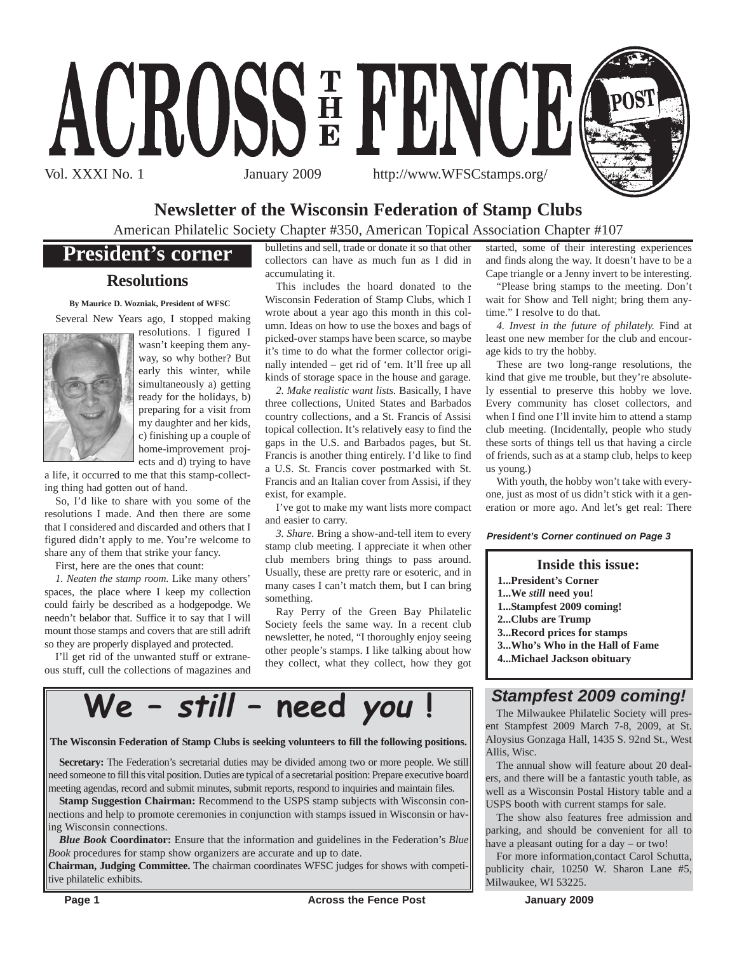

### **Newsletter of the Wisconsin Federation of Stamp Clubs**

American Philatelic Society Chapter #350, American Topical Association Chapter #107

### **President's corner**

#### **Resolutions**

**By Maurice D. Wozniak, President of WFSC** Several New Years ago, I stopped making



resolutions. I figured I wasn't keeping them anyway, so why bother? But early this winter, while simultaneously a) getting ready for the holidays, b) preparing for a visit from my daughter and her kids, c) finishing up a couple of home-improvement projects and d) trying to have

a life, it occurred to me that this stamp-collecting thing had gotten out of hand.

So, I'd like to share with you some of the resolutions I made. And then there are some that I considered and discarded and others that I figured didn't apply to me. You're welcome to share any of them that strike your fancy.

First, here are the ones that count:

*1. Neaten the stamp room.* Like many others' spaces, the place where I keep my collection could fairly be described as a hodgepodge. We needn't belabor that. Suffice it to say that I will mount those stamps and covers that are still adrift so they are properly displayed and protected.

I'll get rid of the unwanted stuff or extraneous stuff, cull the collections of magazines and bulletins and sell, trade or donate it so that other collectors can have as much fun as I did in accumulating it.

This includes the hoard donated to the Wisconsin Federation of Stamp Clubs, which I wrote about a year ago this month in this column. Ideas on how to use the boxes and bags of picked-over stamps have been scarce, so maybe it's time to do what the former collector originally intended – get rid of 'em. It'll free up all kinds of storage space in the house and garage.

*2. Make realistic want lists.* Basically, I have three collections, United States and Barbados country collections, and a St. Francis of Assisi topical collection. It's relatively easy to find the gaps in the U.S. and Barbados pages, but St. Francis is another thing entirely. I'd like to find a U.S. St. Francis cover postmarked with St. Francis and an Italian cover from Assisi, if they exist, for example.

I've got to make my want lists more compact and easier to carry.

*3. Share.* Bring a show-and-tell item to every stamp club meeting. I appreciate it when other club members bring things to pass around. Usually, these are pretty rare or esoteric, and in many cases I can't match them, but I can bring something.

Ray Perry of the Green Bay Philatelic Society feels the same way. In a recent club newsletter, he noted, "I thoroughly enjoy seeing other people's stamps. I like talking about how they collect, what they collect, how they got

**We – still – need you !**

#### **The Wisconsin Federation of Stamp Clubs is seeking volunteers to fill the following positions.**

**Secretary:** The Federation's secretarial duties may be divided among two or more people. We still need someone to fill this vital position. Duties are typical of a secretarial position: Prepare executive board meeting agendas, record and submit minutes, submit reports, respond to inquiries and maintain files.

**Stamp Suggestion Chairman:** Recommend to the USPS stamp subjects with Wisconsin connections and help to promote ceremonies in conjunction with stamps issued in Wisconsin or having Wisconsin connections.

*Blue Book* **Coordinator:** Ensure that the information and guidelines in the Federation's *Blue Book* procedures for stamp show organizers are accurate and up to date.

**Chairman, Judging Committee.** The chairman coordinates WFSC judges for shows with competitive philatelic exhibits.

started, some of their interesting experiences and finds along the way. It doesn't have to be a Cape triangle or a Jenny invert to be interesting.

"Please bring stamps to the meeting. Don't wait for Show and Tell night; bring them anytime." I resolve to do that.

*4. Invest in the future of philately.* Find at least one new member for the club and encourage kids to try the hobby.

These are two long-range resolutions, the kind that give me trouble, but they're absolutely essential to preserve this hobby we love. Every community has closet collectors, and when I find one I'll invite him to attend a stamp club meeting. (Incidentally, people who study these sorts of things tell us that having a circle of friends, such as at a stamp club, helps to keep us young.)

With youth, the hobby won't take with everyone, just as most of us didn't stick with it a generation or more ago. And let's get real: There

#### *President's Corner continued on Page 3*

#### **Inside this issue:**

- **1...President's Corner**
- **1...We** *still* **need you!**
- **1...Stampfest 2009 coming!**
- **2...Clubs are Trump**
- **3...Record prices for stamps**
- **3...Who's Who in the Hall of Fame**
- **4...Michael Jackson obituary**

#### *Stampfest 2009 coming!*

The Milwaukee Philatelic Society will present Stampfest 2009 March 7-8, 2009, at St. Aloysius Gonzaga Hall, 1435 S. 92nd St., West Allis, Wisc.

The annual show will feature about 20 dealers, and there will be a fantastic youth table, as well as a Wisconsin Postal History table and a USPS booth with current stamps for sale.

The show also features free admission and parking, and should be convenient for all to have a pleasant outing for a day – or two!

For more information,contact Carol Schutta, publicity chair, 10250 W. Sharon Lane #5, Milwaukee, WI 53225.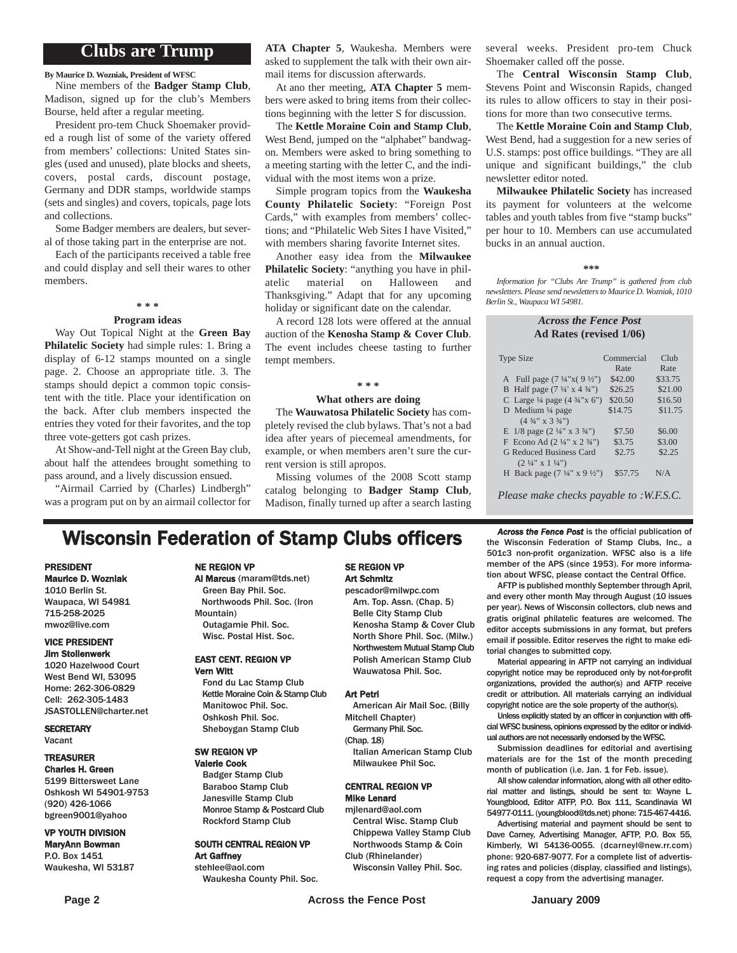#### **Clubs are Trump**

**By Maurice D. Wozniak, President of WFSC**

Nine members of the **Badger Stamp Club**, Madison, signed up for the club's Members Bourse, held after a regular meeting.

President pro-tem Chuck Shoemaker provided a rough list of some of the variety offered from members' collections: United States singles (used and unused), plate blocks and sheets, covers, postal cards, discount postage, Germany and DDR stamps, worldwide stamps (sets and singles) and covers, topicals, page lots and collections.

Some Badger members are dealers, but several of those taking part in the enterprise are not.

Each of the participants received a table free and could display and sell their wares to other members.

#### **\* \* \***

#### **Program ideas**

Way Out Topical Night at the **Green Bay Philatelic Society** had simple rules: 1. Bring a display of 6-12 stamps mounted on a single page. 2. Choose an appropriate title. 3. The stamps should depict a common topic consistent with the title. Place your identification on the back. After club members inspected the entries they voted for their favorites, and the top three vote-getters got cash prizes.

At Show-and-Tell night at the Green Bay club, about half the attendees brought something to pass around, and a lively discussion ensued.

"Airmail Carried by (Charles) Lindbergh" was a program put on by an airmail collector for **ATA Chapter 5**, Waukesha. Members were asked to supplement the talk with their own airmail items for discussion afterwards.

At ano ther meeting, **ATA Chapter 5** members were asked to bring items from their collections beginning with the letter S for discussion.

The **Kettle Moraine Coin and Stamp Club**, West Bend, jumped on the "alphabet" bandwagon. Members were asked to bring something to a meeting starting with the letter C, and the individual with the most items won a prize.

Simple program topics from the **Waukesha County Philatelic Society**: "Foreign Post Cards," with examples from members' collections; and "Philatelic Web Sites I have Visited," with members sharing favorite Internet sites.

Another easy idea from the **Milwaukee Philatelic Society**: "anything you have in philatelic material on Halloween and Thanksgiving." Adapt that for any upcoming holiday or significant date on the calendar.

A record 128 lots were offered at the annual auction of the **Kenosha Stamp & Cover Club**. The event includes cheese tasting to further tempt members.

#### **\* \* \***

#### **What others are doing**

The **Wauwatosa Philatelic Society** has completely revised the club bylaws. That's not a bad idea after years of piecemeal amendments, for example, or when members aren't sure the current version is still apropos.

Missing volumes of the 2008 Scott stamp catalog belonging to **Badger Stamp Club**, Madison, finally turned up after a search lasting

#### several weeks. President pro-tem Chuck Shoemaker called off the posse.

The **Central Wisconsin Stamp Club**, Stevens Point and Wisconsin Rapids, changed its rules to allow officers to stay in their positions for more than two consecutive terms.

The **Kettle Moraine Coin and Stamp Club**, West Bend, had a suggestion for a new series of U.S. stamps: post office buildings. "They are all unique and significant buildings," the club newsletter editor noted.

**Milwaukee Philatelic Society** has increased its payment for volunteers at the welcome tables and youth tables from five "stamp bucks" per hour to 10. Members can use accumulated bucks in an annual auction.

#### **\*\*\***

*Information for "Clubs Are Trump" is gathered from club newsletters. Please send newsletters to Maurice D. Wozniak, 1010 Berlin St., Waupaca WI 54981.*

#### *Across the Fence Post* **Ad Rates (revised 1/06)**

| <b>Type Size</b>                                   | Commercial<br>Rate | Cl <sub>11</sub><br>Rate |
|----------------------------------------------------|--------------------|--------------------------|
| A Full page $(7\frac{1}{4}x(9\frac{1}{2}y))$       | \$42.00            | \$33.75                  |
| B Half page $(7\frac{1}{4} \times 4\frac{3}{4})$   | \$26.25            | \$21.00                  |
|                                                    |                    |                          |
| C Large $\frac{1}{4}$ page $(4 \frac{3}{4} x 6'')$ | \$20.50            | \$16.50                  |
| D Medium $\frac{1}{4}$ page                        | \$14.75            | \$11.75                  |
| $(4\frac{3}{4}$ " x 3 $\frac{3}{4}$ ")             |                    |                          |
| E $1/8$ page $(2\frac{1}{4}$ " x $3\frac{3}{4}$ ") | \$7.50             | \$6.00                   |
| F Econo Ad $(2\frac{1}{4}$ " x $2\frac{3}{4}$ ")   | \$3.75             | \$3.00                   |
| G Reduced Business Card                            | \$2.75             | \$2.25                   |
| $(2 \frac{1}{4}$ " x 1 $\frac{1}{4}$ ")            |                    |                          |
| H Back page $(7\frac{1}{4}$ " x 9 $\frac{1}{2}$ ") | \$57.75            | N/A                      |
|                                                    |                    |                          |

*Please make checks payable to :W.F.S.C.*

### **Wisconsin Federation of Stamp Clubs officers** *Across the Fence Post* is the official publication of stamp Clubs, Inc., a

#### PRESIDENT Maurice D. Wozniak

1010 Berlin St. Waupaca, WI 54981 715-258-2025 mwoz@live.com

#### VICE PRESIDENT Jim Stollenwerk

1020 Hazelwood Court West Bend WI, 53095 Home: 262-306-0829 Cell: 262-305-1483 JSASTOLLEN@charter.net

**SECRETARY** Vacant

#### TREASURER Charles H. Green

5199 Bittersweet Lane Oshkosh WI 54901-9753 (920) 426-1066 bgreen9001@yahoo

#### VP YOUTH DIVISION MaryAnn Bowman P.O. Box 1451

Waukesha, WI 53187

#### NE REGION VP

#### Al Marcus (maram@tds.net)

Green Bay Phil. Soc. Northwoods Phil. Soc. (Iron Mountain) Outagamie Phil. Soc.

#### EAST CENT. REGION VP Vern Witt

Wisc. Postal Hist. Soc.

Fond du Lac Stamp Club Kettle Moraine Coin & Stamp Club Manitowoc Phil. Soc. Oshkosh Phil. Soc. Sheboygan Stamp Club

#### SW REGION VP

Valerie Cook Badger Stamp Club Baraboo Stamp Club Janesville Stamp Club Monroe Stamp & Postcard Club Rockford Stamp Club

# SOUTH CENTRAL REGION VP

Art Gaffney stehlee@aol.com Waukesha County Phil. Soc.

#### SE REGION VP Art Schmitz

pescador@milwpc.com Am. Top. Assn. (Chap. 5) Belle City Stamp Club Kenosha Stamp & Cover Club North Shore Phil. Soc. (Milw.) Northwestern Mutual Stamp Club Polish American Stamp Club Wauwatosa Phil. Soc.

#### Art Petri

American Air Mail Soc. (Billy Mitchell Chapter)

Germany Phil. Soc. (Chap. 18)

Italian American Stamp Club Milwaukee Phil Soc.

#### CENTRAL REGION VP Mike Lenard

mjlenard@aol.com Central Wisc. Stamp Club

Chippewa Valley Stamp Club Northwoods Stamp & Coin Club (Rhinelander)

Wisconsin Valley Phil. Soc.

the Wisconsin Federation of Stamp Clubs, Inc., a 501c3 non-profit organization. WFSC also is a life member of the APS (since 1953). For more information about WFSC, please contact the Central Office.

AFTP is published monthly September through April, and every other month May through August (10 issues per year). News of Wisconsin collectors, club news and gratis original philatelic features are welcomed. The editor accepts submissions in any format, but prefers email if possible. Editor reserves the right to make editorial changes to submitted copy.

Material appearing in AFTP not carrying an individual copyright notice may be reproduced only by not-for-profit organizations, provided the author(s) and AFTP receive credit or attribution. All materials carrying an individual copyright notice are the sole property of the author(s).

Unless explicitly stated by an officer in conjunction with official WFSC business, opinions expressed by the editor or individual authors are not necessarily endorsed by the WFSC.

Submission deadlines for editorial and avertising materials are for the 1st of the month preceding month of publication (i.e. Jan. 1 for Feb. issue).

All show calendar information, along with all other editorial matter and listings, should be sent to: Wayne L. Youngblood, Editor ATFP, P.O. Box 111, Scandinavia WI 54977-0111. (youngblood@tds.net) phone: 715-467-4416.

Advertising material and payment should be sent to Dave Carney, Advertising Manager, AFTP, P.O. Box 55, Kimberly, WI 54136-0055. (dcarneyl@new.rr.com) phone: 920-687-9077. For a complete list of advertising rates and policies (display, classified and listings), request a copy from the advertising manager.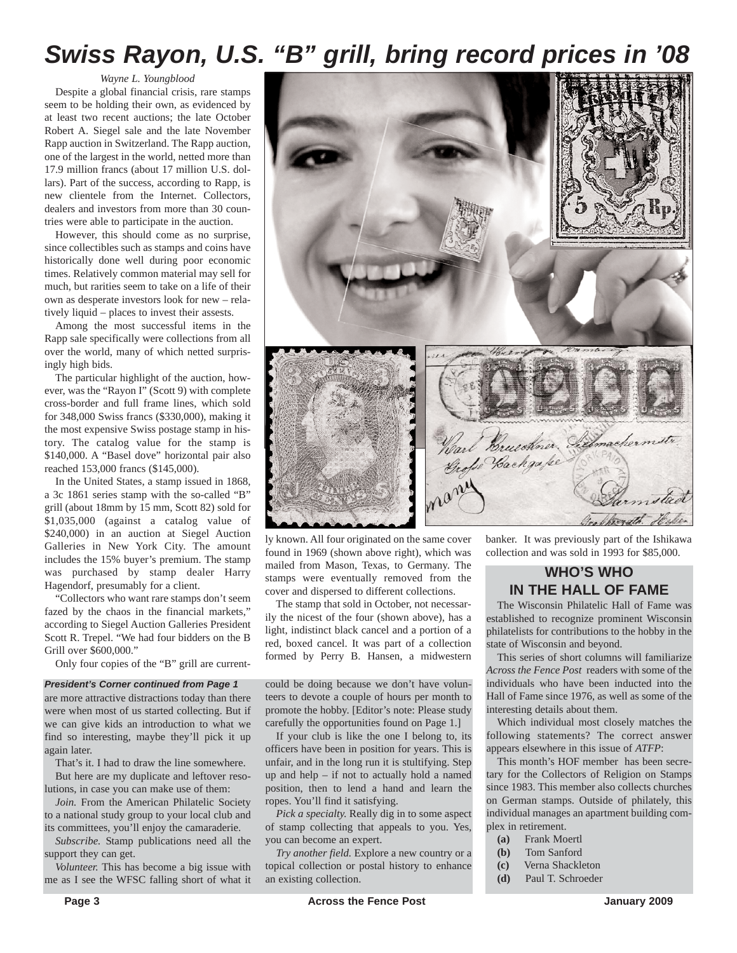## *Swiss Rayon, U.S. "B" grill, bring record prices in '08*

*Wayne L. Youngblood*

Despite a global financial crisis, rare stamps seem to be holding their own, as evidenced by at least two recent auctions; the late October Robert A. Siegel sale and the late November Rapp auction in Switzerland. The Rapp auction, one of the largest in the world, netted more than 17.9 million francs (about 17 million U.S. dollars). Part of the success, according to Rapp, is new clientele from the Internet. Collectors, dealers and investors from more than 30 countries were able to participate in the auction.

However, this should come as no surprise, since collectibles such as stamps and coins have historically done well during poor economic times. Relatively common material may sell for much, but rarities seem to take on a life of their own as desperate investors look for new – relatively liquid – places to invest their assests.

Among the most successful items in the Rapp sale specifically were collections from all over the world, many of which netted surprisingly high bids.

The particular highlight of the auction, however, was the "Rayon I" (Scott 9) with complete cross-border and full frame lines, which sold for 348,000 Swiss francs (\$330,000), making it the most expensive Swiss postage stamp in history. The catalog value for the stamp is \$140,000. A "Basel dove" horizontal pair also reached 153,000 francs (\$145,000).

In the United States, a stamp issued in 1868, a 3c 1861 series stamp with the so-called "B" grill (about 18mm by 15 mm, Scott 82) sold for \$1,035,000 (against a catalog value of \$240,000) in an auction at Siegel Auction Galleries in New York City. The amount includes the 15% buyer's premium. The stamp was purchased by stamp dealer Harry Hagendorf, presumably for a client.

"Collectors who want rare stamps don't seem fazed by the chaos in the financial markets," according to Siegel Auction Galleries President Scott R. Trepel. "We had four bidders on the B Grill over \$600,000."

Only four copies of the "B" grill are current-

#### *President's Corner continued from Page 1*

are more attractive distractions today than there were when most of us started collecting. But if we can give kids an introduction to what we find so interesting, maybe they'll pick it up again later.

That's it. I had to draw the line somewhere. But here are my duplicate and leftover resolutions, in case you can make use of them:

*Join.* From the American Philatelic Society to a national study group to your local club and its committees, you'll enjoy the camaraderie.

*Subscribe.* Stamp publications need all the support they can get.

*Volunteer.* This has become a big issue with me as I see the WFSC falling short of what it



ly known. All four originated on the same cover found in 1969 (shown above right), which was mailed from Mason, Texas, to Germany. The stamps were eventually removed from the cover and dispersed to different collections.

The stamp that sold in October, not necessarily the nicest of the four (shown above), has a light, indistinct black cancel and a portion of a red, boxed cancel. It was part of a collection formed by Perry B. Hansen, a midwestern

could be doing because we don't have volunteers to devote a couple of hours per month to promote the hobby. [Editor's note: Please study carefully the opportunities found on Page 1.]

If your club is like the one I belong to, its officers have been in position for years. This is unfair, and in the long run it is stultifying. Step up and help – if not to actually hold a named position, then to lend a hand and learn the ropes. You'll find it satisfying.

*Pick a specialty.* Really dig in to some aspect of stamp collecting that appeals to you. Yes, you can become an expert.

*Try another field.* Explore a new country or a topical collection or postal history to enhance an existing collection.

banker. It was previously part of the Ishikawa collection and was sold in 1993 for \$85,000.

#### **WHO'S WHO IN THE HALL OF FAME**

The Wisconsin Philatelic Hall of Fame was established to recognize prominent Wisconsin philatelists for contributions to the hobby in the state of Wisconsin and beyond.

This series of short columns will familiarize *Across the Fence Post* readers with some of the individuals who have been inducted into the Hall of Fame since 1976, as well as some of the interesting details about them.

Which individual most closely matches the following statements? The correct answer appears elsewhere in this issue of *ATFP*:

This month's HOF member has been secretary for the Collectors of Religion on Stamps since 1983. This member also collects churches on German stamps. Outside of philately, this individual manages an apartment building complex in retirement.

- **(a)** Frank Moertl
- **(b)** Tom Sanford
- **(c)** Verna Shackleton
- **(d)** Paul T. Schroeder